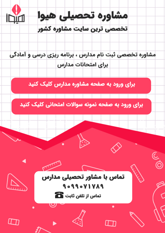

مشاوره تخصصی ثبت نام مدارس ، برنامه ریزی درسی و آمادگی براى امتحانات مدارس

برای ورود به صفحه مشاوره مدارس کلیک کنید

برای ورود به صفحه نمونه سوالات امتحانی کلیک کنید



90990VIVA9 تماس از تلفن ثابت ها

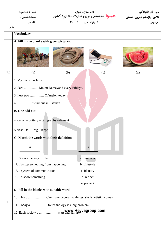|                                                 | شماره صندلی :                                | دبیرستان رضوان<br><b>هیــوا</b> تخصصی ترین سایت مشاوره کشور | اه و نام خانوادگی :        |  |  |  |  |  |  |  |  |
|-------------------------------------------------|----------------------------------------------|-------------------------------------------------------------|----------------------------|--|--|--|--|--|--|--|--|
|                                                 | مدت امتحان :                                 |                                                             | كلاس : يازدهم تجربي-انساني |  |  |  |  |  |  |  |  |
| تاريخ امتحان: ١ / ٩٩<br>نام دبير :<br>نام درس : |                                              |                                                             |                            |  |  |  |  |  |  |  |  |
|                                                 | بارم<br><b>Vocabulary:</b>                   |                                                             |                            |  |  |  |  |  |  |  |  |
|                                                 |                                              |                                                             |                            |  |  |  |  |  |  |  |  |
|                                                 | A. Fill in the blanks with given pictures.   |                                                             |                            |  |  |  |  |  |  |  |  |
|                                                 |                                              |                                                             |                            |  |  |  |  |  |  |  |  |
| 1.5                                             | (a)                                          | (b)<br>(c)                                                  | (d)                        |  |  |  |  |  |  |  |  |
|                                                 | 1. My uncle has high                         |                                                             |                            |  |  |  |  |  |  |  |  |
|                                                 | 2. Sara  Mount Damavand every Fridays.       |                                                             |                            |  |  |  |  |  |  |  |  |
|                                                 | 3. I eat two  Of melon today.                |                                                             |                            |  |  |  |  |  |  |  |  |
|                                                 |                                              |                                                             |                            |  |  |  |  |  |  |  |  |
|                                                 | <b>B.</b> One odd out:                       |                                                             |                            |  |  |  |  |  |  |  |  |
|                                                 | 4. carpet – pottery – calligraphy- element   |                                                             |                            |  |  |  |  |  |  |  |  |
|                                                 | 5. vast $-\tanh - \text{big}-\text{large}$   |                                                             |                            |  |  |  |  |  |  |  |  |
|                                                 | C: Match the words with their definition :   |                                                             |                            |  |  |  |  |  |  |  |  |
|                                                 | A                                            | B                                                           |                            |  |  |  |  |  |  |  |  |
|                                                 | 6. Shows the way of life<br>a. Language      |                                                             |                            |  |  |  |  |  |  |  |  |
|                                                 | 7. To stop something from happening          | b. Lifestyle                                                |                            |  |  |  |  |  |  |  |  |
|                                                 | 8. a system of communication                 | c. identity                                                 |                            |  |  |  |  |  |  |  |  |
|                                                 | 9. To show something                         | d. reflect                                                  |                            |  |  |  |  |  |  |  |  |
|                                                 |                                              | e. prevent                                                  |                            |  |  |  |  |  |  |  |  |
|                                                 | D: Fill in the blanks with suitable word.    |                                                             |                            |  |  |  |  |  |  |  |  |
| 1.5                                             |                                              |                                                             |                            |  |  |  |  |  |  |  |  |
|                                                 | 11. Today a  to technology is a big problem. |                                                             |                            |  |  |  |  |  |  |  |  |
|                                                 | 12. Each society a  its art and culture.     |                                                             |                            |  |  |  |  |  |  |  |  |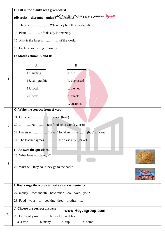|                | E: Fill in the blanks with given word                 |                                                                                |  |  |  |  |  |
|----------------|-------------------------------------------------------|--------------------------------------------------------------------------------|--|--|--|--|--|
|                |                                                       | هیــوا تخصصی ترین سایت مشاوره کشود (diversity – discount – unique – cordinent) |  |  |  |  |  |
|                | 13. They get  When they buy this handicraft.          |                                                                                |  |  |  |  |  |
|                | 14. Plant  of this city is amazing.                   |                                                                                |  |  |  |  |  |
|                |                                                       |                                                                                |  |  |  |  |  |
|                | 16. Each person's finger print is                     |                                                                                |  |  |  |  |  |
|                | F: Match column A and B:                              |                                                                                |  |  |  |  |  |
|                | $\mathbf{A}$                                          | $\bf{B}$                                                                       |  |  |  |  |  |
|                | 17. surfing                                           | a. tile                                                                        |  |  |  |  |  |
| 1              | 18. calligraphic                                      | b. depressed                                                                   |  |  |  |  |  |
|                | 19. local                                             | c. the net                                                                     |  |  |  |  |  |
|                | 20. heart                                             | d. attack                                                                      |  |  |  |  |  |
|                |                                                       | e. customs                                                                     |  |  |  |  |  |
|                | G. Write the correct from of verb:                    |                                                                                |  |  |  |  |  |
|                | 21. Let's go  next week. (bike)                       |                                                                                |  |  |  |  |  |
| $\overline{2}$ | 22.  he  fast food since Sunday. (eat)                |                                                                                |  |  |  |  |  |
|                |                                                       |                                                                                |  |  |  |  |  |
|                | 24. The teacher agrees  the class at 5. (leave)       |                                                                                |  |  |  |  |  |
|                | <b>H. Answer the questions :</b>                      |                                                                                |  |  |  |  |  |
|                | 25. What have you bought?                             |                                                                                |  |  |  |  |  |
| 3              |                                                       |                                                                                |  |  |  |  |  |
|                | 26. What will they do if they go to the park?         |                                                                                |  |  |  |  |  |
|                |                                                       |                                                                                |  |  |  |  |  |
|                |                                                       | I. Rearrange the words to make a correct sentence.                             |  |  |  |  |  |
|                |                                                       | 27. money – each mouth – how much – do – save – you?                           |  |  |  |  |  |
|                | 28. Food – your – of – cooking- tired – brother – is. |                                                                                |  |  |  |  |  |
|                | J. Choose the correct answer:<br>www.Heyvagroup.com   |                                                                                |  |  |  |  |  |
| 3.5            |                                                       | 29. He usually use  butter for breakfast                                       |  |  |  |  |  |
|                | a. a few<br>b. many<br>c. cup                         | d. some                                                                        |  |  |  |  |  |